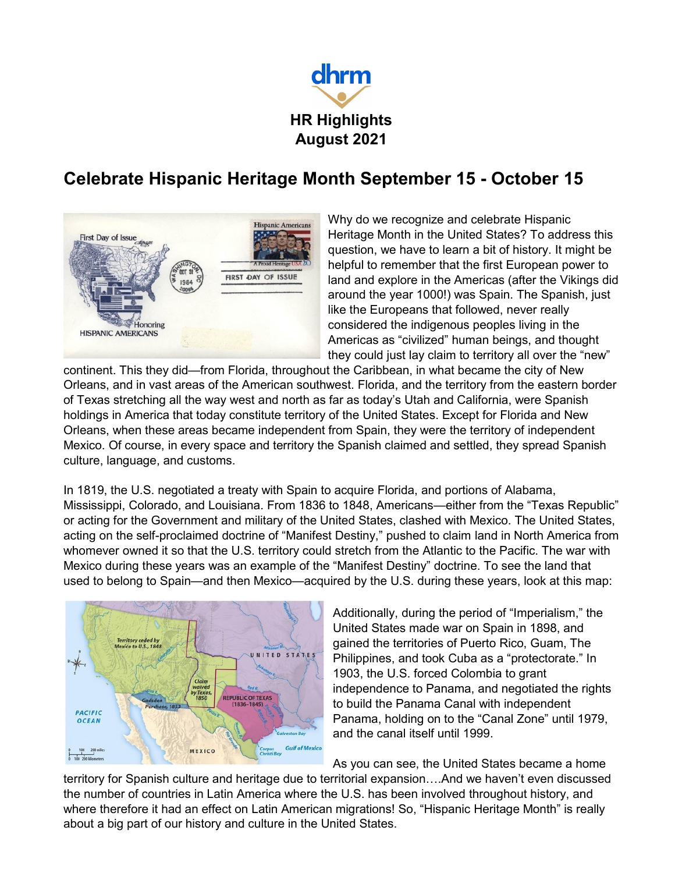

## **Celebrate Hispanic Heritage Month September 15 - October 15**



Why do we recognize and celebrate Hispanic Heritage Month in the United States? To address this question, we have to learn a bit of history. It might be helpful to remember that the first European power to land and explore in the Americas (after the Vikings did around the year 1000!) was Spain. The Spanish, just like the Europeans that followed, never really considered the indigenous peoples living in the Americas as "civilized" human beings, and thought they could just lay claim to territory all over the "new"

continent. This they did—from Florida, throughout the Caribbean, in what became the city of New Orleans, and in vast areas of the American southwest. Florida, and the territory from the eastern border of Texas stretching all the way west and north as far as today's Utah and California, were Spanish holdings in America that today constitute territory of the United States. Except for Florida and New Orleans, when these areas became independent from Spain, they were the territory of independent Mexico. Of course, in every space and territory the Spanish claimed and settled, they spread Spanish culture, language, and customs.

In 1819, the U.S. negotiated a treaty with Spain to acquire Florida, and portions of Alabama, Mississippi, Colorado, and Louisiana. From 1836 to 1848, Americans—either from the "Texas Republic" or acting for the Government and military of the United States, clashed with Mexico. The United States, acting on the self-proclaimed doctrine of "Manifest Destiny," pushed to claim land in North America from whomever owned it so that the U.S. territory could stretch from the Atlantic to the Pacific. The war with Mexico during these years was an example of the "Manifest Destiny" doctrine. To see the land that used to belong to Spain—and then Mexico—acquired by the U.S. during these years, look at this map:



Additionally, during the period of "Imperialism," the United States made war on Spain in 1898, and gained the territories of Puerto Rico, Guam, The Philippines, and took Cuba as a "protectorate." In 1903, the U.S. forced Colombia to grant independence to Panama, and negotiated the rights to build the Panama Canal with independent Panama, holding on to the "Canal Zone" until 1979, and the canal itself until 1999.

As you can see, the United States became a home

territory for Spanish culture and heritage due to territorial expansion….And we haven't even discussed the number of countries in Latin America where the U.S. has been involved throughout history, and where therefore it had an effect on Latin American migrations! So, "Hispanic Heritage Month" is really about a big part of our history and culture in the United States.